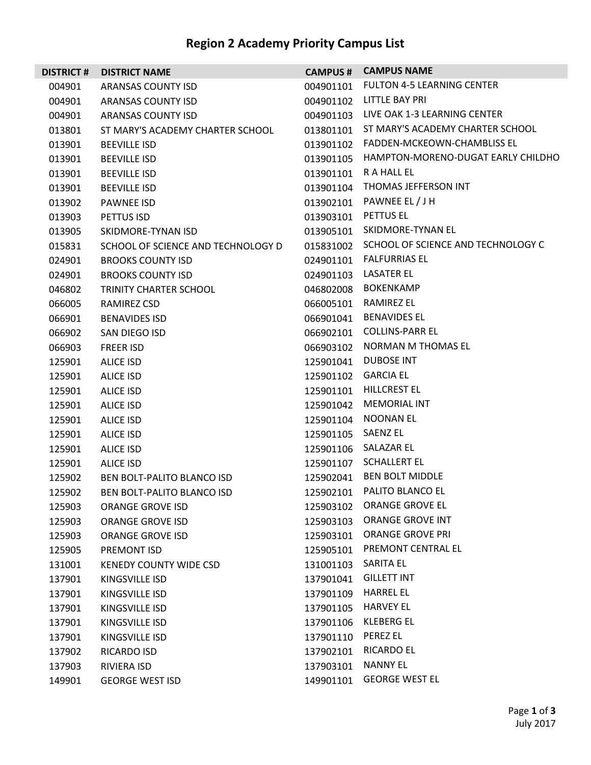## **Region 2 Academy Priority Campus List**

| <b>DISTRICT#</b> | <b>DISTRICT NAME</b>               | <b>CAMPUS #</b> | <b>CAMPUS NAME</b>                 |
|------------------|------------------------------------|-----------------|------------------------------------|
| 004901           | ARANSAS COUNTY ISD                 | 004901101       | <b>FULTON 4-5 LEARNING CENTER</b>  |
| 004901           | ARANSAS COUNTY ISD                 | 004901102       | LITTLE BAY PRI                     |
| 004901           | ARANSAS COUNTY ISD                 | 004901103       | LIVE OAK 1-3 LEARNING CENTER       |
| 013801           | ST MARY'S ACADEMY CHARTER SCHOOL   | 013801101       | ST MARY'S ACADEMY CHARTER SCHOOL   |
| 013901           | <b>BEEVILLE ISD</b>                | 013901102       | FADDEN-MCKEOWN-CHAMBLISS EL        |
| 013901           | <b>BEEVILLE ISD</b>                | 013901105       | HAMPTON-MORENO-DUGAT EARLY CHILDHO |
| 013901           | <b>BEEVILLE ISD</b>                | 013901101       | R A HALL EL                        |
| 013901           | <b>BEEVILLE ISD</b>                | 013901104       | THOMAS JEFFERSON INT               |
| 013902           | <b>PAWNEE ISD</b>                  | 013902101       | PAWNEE EL / J H                    |
| 013903           | PETTUS ISD                         | 013903101       | PETTUS EL                          |
| 013905           | SKIDMORE-TYNAN ISD                 | 013905101       | SKIDMORE-TYNAN EL                  |
| 015831           | SCHOOL OF SCIENCE AND TECHNOLOGY D | 015831002       | SCHOOL OF SCIENCE AND TECHNOLOGY C |
| 024901           | <b>BROOKS COUNTY ISD</b>           | 024901101       | <b>FALFURRIAS EL</b>               |
| 024901           | <b>BROOKS COUNTY ISD</b>           | 024901103       | LASATER EL                         |
| 046802           | TRINITY CHARTER SCHOOL             | 046802008       | <b>BOKENKAMP</b>                   |
| 066005           | RAMIREZ CSD                        | 066005101       | RAMIREZ EL                         |
| 066901           | <b>BENAVIDES ISD</b>               | 066901041       | <b>BENAVIDES EL</b>                |
| 066902           | SAN DIEGO ISD                      | 066902101       | <b>COLLINS-PARR EL</b>             |
| 066903           | FREER ISD                          | 066903102       | <b>NORMAN M THOMAS EL</b>          |
| 125901           | ALICE ISD                          | 125901041       | <b>DUBOSE INT</b>                  |
| 125901           | <b>ALICE ISD</b>                   | 125901102       | <b>GARCIA EL</b>                   |
| 125901           | <b>ALICE ISD</b>                   | 125901101       | HILLCREST EL                       |
| 125901           | ALICE ISD                          | 125901042       | <b>MEMORIAL INT</b>                |
| 125901           | ALICE ISD                          | 125901104       | <b>NOONAN EL</b>                   |
| 125901           | <b>ALICE ISD</b>                   | 125901105       | <b>SAENZ EL</b>                    |
| 125901           | <b>ALICE ISD</b>                   | 125901106       | SALAZAR EL                         |
| 125901           | ALICE ISD                          | 125901107       | <b>SCHALLERT EL</b>                |
| 125902           | BEN BOLT-PALITO BLANCO ISD         | 125902041       | <b>BEN BOLT MIDDLE</b>             |
| 125902           | BEN BOLT-PALITO BLANCO ISD         | 125902101       | PALITO BLANCO EL                   |
| 125903           | <b>ORANGE GROVE ISD</b>            | 125903102       | ORANGE GROVE EL                    |
| 125903           | ORANGE GROVE ISD                   | 125903103       | ORANGE GROVE INT                   |
| 125903           | <b>ORANGE GROVE ISD</b>            | 125903101       | <b>ORANGE GROVE PRI</b>            |
| 125905           | PREMONT ISD                        | 125905101       | PREMONT CENTRAL EL                 |
| 131001           | <b>KENEDY COUNTY WIDE CSD</b>      | 131001103       | SARITA EL                          |
| 137901           | KINGSVILLE ISD                     | 137901041       | <b>GILLETT INT</b>                 |
| 137901           | KINGSVILLE ISD                     | 137901109       | <b>HARREL EL</b>                   |
| 137901           | KINGSVILLE ISD                     | 137901105       | <b>HARVEY EL</b>                   |
| 137901           | KINGSVILLE ISD                     | 137901106       | <b>KLEBERG EL</b>                  |
| 137901           | KINGSVILLE ISD                     | 137901110       | <b>PEREZ EL</b>                    |
| 137902           | RICARDO ISD                        | 137902101       | <b>RICARDO EL</b>                  |
| 137903           | RIVIERA ISD                        | 137903101       | <b>NANNY EL</b>                    |
| 149901           | <b>GEORGE WEST ISD</b>             | 149901101       | <b>GEORGE WEST EL</b>              |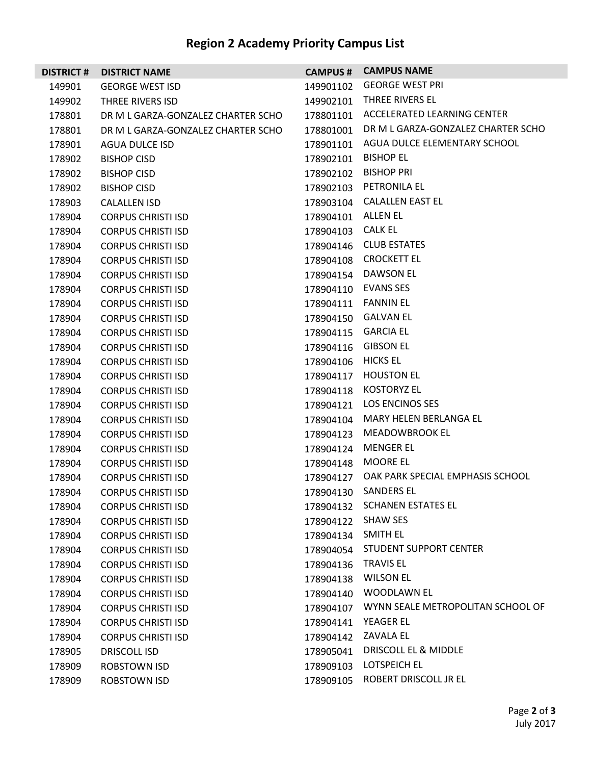## **Region 2 Academy Priority Campus List**

| <b>DISTRICT#</b> | <b>DISTRICT NAME</b>               | <b>CAMPUS #</b> | <b>CAMPUS NAME</b>                 |
|------------------|------------------------------------|-----------------|------------------------------------|
| 149901           | <b>GEORGE WEST ISD</b>             | 149901102       | <b>GEORGE WEST PRI</b>             |
| 149902           | THREE RIVERS ISD                   | 149902101       | THREE RIVERS EL                    |
| 178801           | DR M L GARZA-GONZALEZ CHARTER SCHO | 178801101       | ACCELERATED LEARNING CENTER        |
| 178801           | DR M L GARZA-GONZALEZ CHARTER SCHO | 178801001       | DR M L GARZA-GONZALEZ CHARTER SCHO |
| 178901           | AGUA DULCE ISD                     | 178901101       | AGUA DULCE ELEMENTARY SCHOOL       |
| 178902           | <b>BISHOP CISD</b>                 | 178902101       | <b>BISHOP EL</b>                   |
| 178902           | <b>BISHOP CISD</b>                 | 178902102       | <b>BISHOP PRI</b>                  |
| 178902           | <b>BISHOP CISD</b>                 | 178902103       | PETRONILA EL                       |
| 178903           | <b>CALALLEN ISD</b>                | 178903104       | <b>CALALLEN EAST EL</b>            |
| 178904           | <b>CORPUS CHRISTI ISD</b>          | 178904101       | ALLEN EL                           |
| 178904           | <b>CORPUS CHRISTI ISD</b>          | 178904103       | CALK EL                            |
| 178904           | <b>CORPUS CHRISTI ISD</b>          | 178904146       | <b>CLUB ESTATES</b>                |
| 178904           | <b>CORPUS CHRISTI ISD</b>          | 178904108       | <b>CROCKETT EL</b>                 |
| 178904           | <b>CORPUS CHRISTI ISD</b>          | 178904154       | <b>DAWSON EL</b>                   |
| 178904           | <b>CORPUS CHRISTI ISD</b>          | 178904110       | <b>EVANS SES</b>                   |
| 178904           | <b>CORPUS CHRISTI ISD</b>          | 178904111       | <b>FANNIN EL</b>                   |
| 178904           | <b>CORPUS CHRISTI ISD</b>          | 178904150       | <b>GALVAN EL</b>                   |
| 178904           | <b>CORPUS CHRISTI ISD</b>          | 178904115       | <b>GARCIA EL</b>                   |
| 178904           | <b>CORPUS CHRISTI ISD</b>          | 178904116       | <b>GIBSON EL</b>                   |
| 178904           | <b>CORPUS CHRISTI ISD</b>          | 178904106       | <b>HICKS EL</b>                    |
| 178904           | <b>CORPUS CHRISTI ISD</b>          | 178904117       | <b>HOUSTON EL</b>                  |
| 178904           | <b>CORPUS CHRISTI ISD</b>          | 178904118       | <b>KOSTORYZ EL</b>                 |
| 178904           | <b>CORPUS CHRISTI ISD</b>          | 178904121       | <b>LOS ENCINOS SES</b>             |
| 178904           | <b>CORPUS CHRISTI ISD</b>          | 178904104       | MARY HELEN BERLANGA EL             |
| 178904           | <b>CORPUS CHRISTI ISD</b>          | 178904123       | MEADOWBROOK EL                     |
| 178904           | <b>CORPUS CHRISTI ISD</b>          | 178904124       | <b>MENGER EL</b>                   |
| 178904           | <b>CORPUS CHRISTI ISD</b>          | 178904148       | <b>MOORE EL</b>                    |
| 178904           | <b>CORPUS CHRISTI ISD</b>          | 178904127       | OAK PARK SPECIAL EMPHASIS SCHOOL   |
| 178904           | <b>CORPUS CHRISTI ISD</b>          | 178904130       | <b>SANDERS EL</b>                  |
| 178904           | <b>CORPUS CHRISTI ISD</b>          | 178904132       | <b>SCHANEN ESTATES EL</b>          |
| 178904           | <b>CORPUS CHRISTI ISD</b>          | 178904122       | <b>SHAW SES</b>                    |
| 178904           | <b>CORPUS CHRISTI ISD</b>          | 178904134       | SMITH EL                           |
| 178904           | <b>CORPUS CHRISTI ISD</b>          | 178904054       | <b>STUDENT SUPPORT CENTER</b>      |
| 178904           | <b>CORPUS CHRISTI ISD</b>          | 178904136       | <b>TRAVIS EL</b>                   |
| 178904           | <b>CORPUS CHRISTI ISD</b>          | 178904138       | <b>WILSON EL</b>                   |
| 178904           | <b>CORPUS CHRISTI ISD</b>          | 178904140       | <b>WOODLAWN EL</b>                 |
| 178904           | <b>CORPUS CHRISTI ISD</b>          | 178904107       | WYNN SEALE METROPOLITAN SCHOOL OF  |
| 178904           | <b>CORPUS CHRISTI ISD</b>          | 178904141       | YEAGER EL                          |
| 178904           | <b>CORPUS CHRISTI ISD</b>          | 178904142       | ZAVALA EL                          |
| 178905           | <b>DRISCOLL ISD</b>                | 178905041       | DRISCOLL EL & MIDDLE               |
| 178909           | ROBSTOWN ISD                       | 178909103       | LOTSPEICH EL                       |
| 178909           | ROBSTOWN ISD                       | 178909105       | ROBERT DRISCOLL JR EL              |